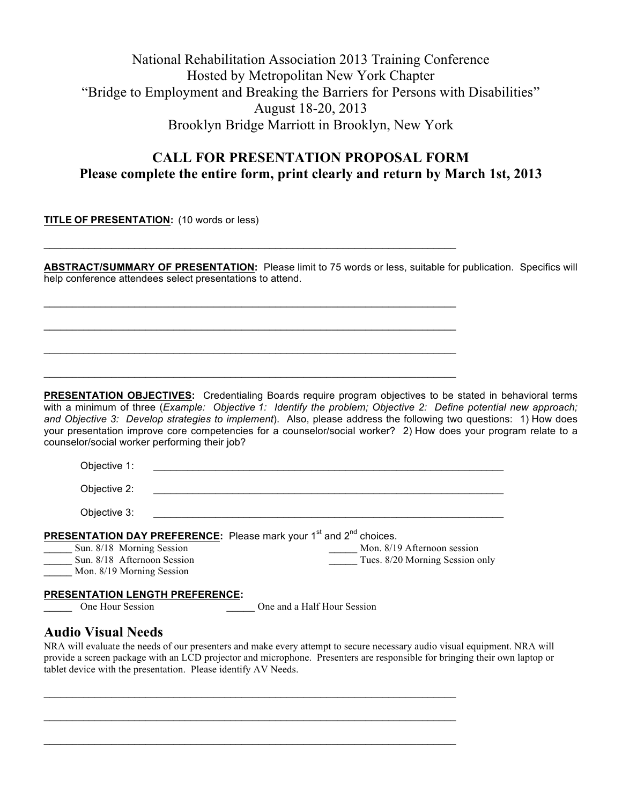# National Rehabilitation Association 2013 Training Conference Hosted by Metropolitan New York Chapter "Bridge to Employment and Breaking the Barriers for Persons with Disabilities" August 18-20, 2013 Brooklyn Bridge Marriott in Brooklyn, New York

### **CALL FOR PRESENTATION PROPOSAL FORM Please complete the entire form, print clearly and return by March 1st, 2013**

**TITLE OF PRESENTATION:** (10 words or less)

**ABSTRACT/SUMMARY OF PRESENTATION:** Please limit to 75 words or less, suitable for publication. Specifics will help conference attendees select presentations to attend.

 $\mathcal{L}_\text{max}$  and  $\mathcal{L}_\text{max}$  and  $\mathcal{L}_\text{max}$  and  $\mathcal{L}_\text{max}$  and  $\mathcal{L}_\text{max}$  and  $\mathcal{L}_\text{max}$ 

 $\mathcal{L}_\text{max}$  and  $\mathcal{L}_\text{max}$  and  $\mathcal{L}_\text{max}$  and  $\mathcal{L}_\text{max}$  and  $\mathcal{L}_\text{max}$  and  $\mathcal{L}_\text{max}$ 

 $\mathcal{L}_\mathcal{L} = \mathcal{L}_\mathcal{L} = \mathcal{L}_\mathcal{L} = \mathcal{L}_\mathcal{L} = \mathcal{L}_\mathcal{L} = \mathcal{L}_\mathcal{L} = \mathcal{L}_\mathcal{L} = \mathcal{L}_\mathcal{L} = \mathcal{L}_\mathcal{L} = \mathcal{L}_\mathcal{L} = \mathcal{L}_\mathcal{L} = \mathcal{L}_\mathcal{L} = \mathcal{L}_\mathcal{L} = \mathcal{L}_\mathcal{L} = \mathcal{L}_\mathcal{L} = \mathcal{L}_\mathcal{L} = \mathcal{L}_\mathcal{L}$ 

 $\mathcal{L}_\text{max}$  and  $\mathcal{L}_\text{max}$  and  $\mathcal{L}_\text{max}$  and  $\mathcal{L}_\text{max}$  and  $\mathcal{L}_\text{max}$  and  $\mathcal{L}_\text{max}$ 

 $\mathcal{L}_\mathcal{L} = \mathcal{L}_\mathcal{L} = \mathcal{L}_\mathcal{L} = \mathcal{L}_\mathcal{L} = \mathcal{L}_\mathcal{L} = \mathcal{L}_\mathcal{L} = \mathcal{L}_\mathcal{L} = \mathcal{L}_\mathcal{L} = \mathcal{L}_\mathcal{L} = \mathcal{L}_\mathcal{L} = \mathcal{L}_\mathcal{L} = \mathcal{L}_\mathcal{L} = \mathcal{L}_\mathcal{L} = \mathcal{L}_\mathcal{L} = \mathcal{L}_\mathcal{L} = \mathcal{L}_\mathcal{L} = \mathcal{L}_\mathcal{L}$ 

**PRESENTATION OBJECTIVES:** Credentialing Boards require program objectives to be stated in behavioral terms with a minimum of three (*Example: Objective 1: Identify the problem; Objective 2: Define potential new approach; and Objective 3: Develop strategies to implement*). Also, please address the following two questions: 1) How does your presentation improve core competencies for a counselor/social worker? 2) How does your program relate to a counselor/social worker performing their job?

| Objective 1:                                                                                                                                                  |                                                                |
|---------------------------------------------------------------------------------------------------------------------------------------------------------------|----------------------------------------------------------------|
| Objective 2:                                                                                                                                                  |                                                                |
| Objective 3:                                                                                                                                                  |                                                                |
| <b>PRESENTATION DAY PREFERENCE:</b> Please mark your 1 <sup>st</sup> and 2 <sup>nd</sup> choices.<br>Sun. 8/18 Morning Session<br>Sun. 8/18 Afternoon Session | Mon. 8/19 Afternoon session<br>Tues. 8/20 Morning Session only |
| Mon. 8/19 Morning Session                                                                                                                                     |                                                                |
| <b>PRESENTATION LENGTH PREFERENCE:</b>                                                                                                                        |                                                                |

One Hour Session **Department Cone and a Half Hour Session** 

#### **Audio Visual Needs**

NRA will evaluate the needs of our presenters and make every attempt to secure necessary audio visual equipment. NRA will provide a screen package with an LCD projector and microphone. Presenters are responsible for bringing their own laptop or tablet device with the presentation. Please identify AV Needs.

 $\mathcal{L}_\mathcal{L} = \mathcal{L}_\mathcal{L} = \mathcal{L}_\mathcal{L} = \mathcal{L}_\mathcal{L} = \mathcal{L}_\mathcal{L} = \mathcal{L}_\mathcal{L} = \mathcal{L}_\mathcal{L} = \mathcal{L}_\mathcal{L} = \mathcal{L}_\mathcal{L} = \mathcal{L}_\mathcal{L} = \mathcal{L}_\mathcal{L} = \mathcal{L}_\mathcal{L} = \mathcal{L}_\mathcal{L} = \mathcal{L}_\mathcal{L} = \mathcal{L}_\mathcal{L} = \mathcal{L}_\mathcal{L} = \mathcal{L}_\mathcal{L}$ 

 $\mathcal{L}_\text{max}$  and  $\mathcal{L}_\text{max}$  and  $\mathcal{L}_\text{max}$  and  $\mathcal{L}_\text{max}$  and  $\mathcal{L}_\text{max}$  and  $\mathcal{L}_\text{max}$ 

 $\mathcal{L}_\mathcal{L} = \mathcal{L}_\mathcal{L} = \mathcal{L}_\mathcal{L} = \mathcal{L}_\mathcal{L} = \mathcal{L}_\mathcal{L} = \mathcal{L}_\mathcal{L} = \mathcal{L}_\mathcal{L} = \mathcal{L}_\mathcal{L} = \mathcal{L}_\mathcal{L} = \mathcal{L}_\mathcal{L} = \mathcal{L}_\mathcal{L} = \mathcal{L}_\mathcal{L} = \mathcal{L}_\mathcal{L} = \mathcal{L}_\mathcal{L} = \mathcal{L}_\mathcal{L} = \mathcal{L}_\mathcal{L} = \mathcal{L}_\mathcal{L}$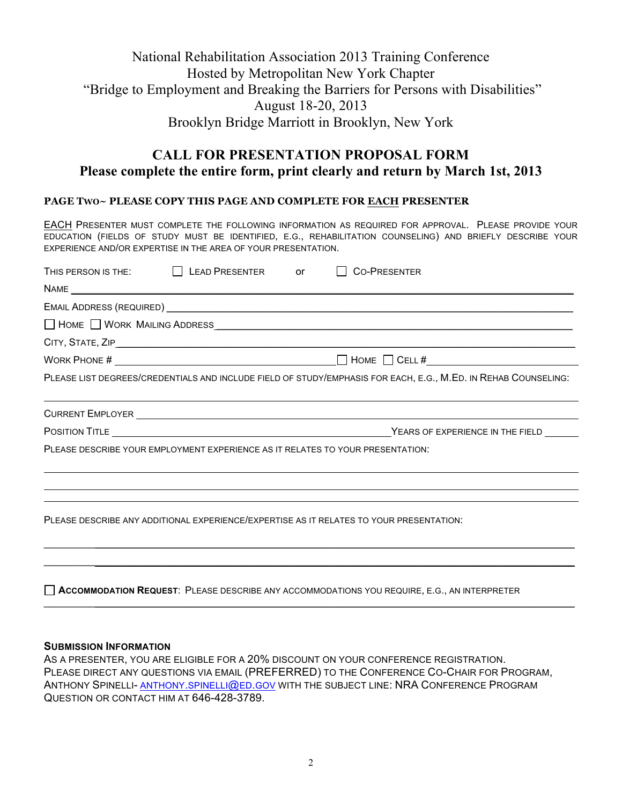# National Rehabilitation Association 2013 Training Conference Hosted by Metropolitan New York Chapter "Bridge to Employment and Breaking the Barriers for Persons with Disabilities" August 18-20, 2013 Brooklyn Bridge Marriott in Brooklyn, New York

# **CALL FOR PRESENTATION PROPOSAL FORM Please complete the entire form, print clearly and return by March 1st, 2013**

#### **PAGE TWO~ PLEASE COPY THIS PAGE AND COMPLETE FOR EACH PRESENTER**

EACH PRESENTER MUST COMPLETE THE FOLLOWING INFORMATION AS REQUIRED FOR APPROVAL. PLEASE PROVIDE YOUR EDUCATION (FIELDS OF STUDY MUST BE IDENTIFIED, E.G., REHABILITATION COUNSELING) AND BRIEFLY DESCRIBE YOUR EXPERIENCE AND/OR EXPERTISE IN THE AREA OF YOUR PRESENTATION.

| THIS PERSON IS THE: $\qquad \qquad \Box$ LEAD PRESENTER or                                                     |  |  | <b>CO-PRESENTER</b>                         |  |
|----------------------------------------------------------------------------------------------------------------|--|--|---------------------------------------------|--|
|                                                                                                                |  |  |                                             |  |
|                                                                                                                |  |  |                                             |  |
|                                                                                                                |  |  |                                             |  |
|                                                                                                                |  |  |                                             |  |
|                                                                                                                |  |  | WORK PHONE # $\sqrt{2\pi}$ MORK PHONE $\pi$ |  |
| PLEASE LIST DEGREES/CREDENTIALS AND INCLUDE FIELD OF STUDY/EMPHASIS FOR EACH, E.G., M.ED. IN REHAB COUNSELING: |  |  |                                             |  |
|                                                                                                                |  |  |                                             |  |
|                                                                                                                |  |  |                                             |  |
| PLEASE DESCRIBE YOUR EMPLOYMENT EXPERIENCE AS IT RELATES TO YOUR PRESENTATION:                                 |  |  |                                             |  |
|                                                                                                                |  |  |                                             |  |
|                                                                                                                |  |  |                                             |  |
| PLEASE DESCRIBE ANY ADDITIONAL EXPERIENCE/EXPERTISE AS IT RELATES TO YOUR PRESENTATION:                        |  |  |                                             |  |
|                                                                                                                |  |  |                                             |  |

**ACCOMMODATION REQUEST**: PLEASE DESCRIBE ANY ACCOMMODATIONS YOU REQUIRE, E.G., AN INTERPRETER

#### **SUBMISSION INFORMATION**

AS A PRESENTER, YOU ARE ELIGIBLE FOR A 20% DISCOUNT ON YOUR CONFERENCE REGISTRATION. PLEASE DIRECT ANY QUESTIONS VIA EMAIL (PREFERRED) TO THE CONFERENCE CO-CHAIR FOR PROGRAM, ANTHONY SPINELLI- ANTHONY.SPINELLI@ED.GOV WITH THE SUBJECT LINE: NRA CONFERENCE PROGRAM QUESTION OR CONTACT HIM AT 646-428-3789.

 $\mathcal{L}_\mathcal{L} = \{ \mathcal{L}_\mathcal{L} = \{ \mathcal{L}_\mathcal{L} = \{ \mathcal{L}_\mathcal{L} = \{ \mathcal{L}_\mathcal{L} = \{ \mathcal{L}_\mathcal{L} = \{ \mathcal{L}_\mathcal{L} = \{ \mathcal{L}_\mathcal{L} = \{ \mathcal{L}_\mathcal{L} = \{ \mathcal{L}_\mathcal{L} = \{ \mathcal{L}_\mathcal{L} = \{ \mathcal{L}_\mathcal{L} = \{ \mathcal{L}_\mathcal{L} = \{ \mathcal{L}_\mathcal{L} = \{ \mathcal{L}_\mathcal{$